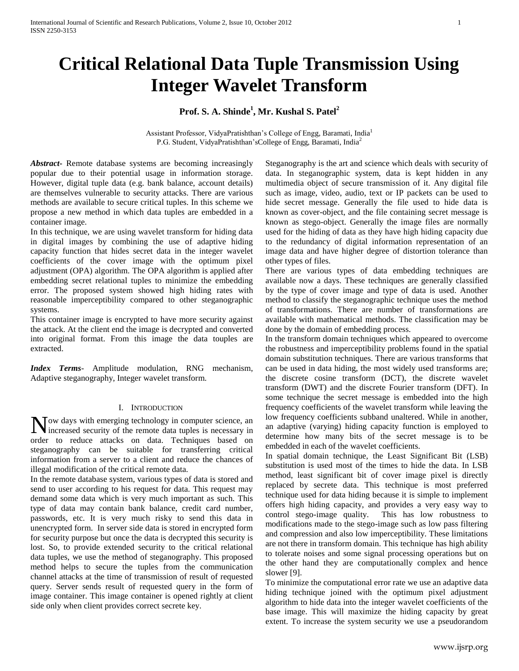# **Critical Relational Data Tuple Transmission Using Integer Wavelet Transform**

# **Prof. S. A. Shinde<sup>1</sup> , Mr. Kushal S. Patel<sup>2</sup>**

Assistant Professor, VidyaPratishthan's College of Engg, Baramati, India<sup>1</sup> P.G. Student, VidyaPratishthan'sCollege of Engg, Baramati, India<sup>2</sup>

*Abstract***-** Remote database systems are becoming increasingly popular due to their potential usage in information storage. However, digital tuple data (e.g. bank balance, account details) are themselves vulnerable to security attacks. There are various methods are available to secure critical tuples. In this scheme we propose a new method in which data tuples are embedded in a container image.

In this technique, we are using wavelet transform for hiding data in digital images by combining the use of adaptive hiding capacity function that hides secret data in the integer wavelet coefficients of the cover image with the optimum pixel adjustment (OPA) algorithm. The OPA algorithm is applied after embedding secret relational tuples to minimize the embedding error. The proposed system showed high hiding rates with reasonable imperceptibility compared to other steganographic systems.

This container image is encrypted to have more security against the attack. At the client end the image is decrypted and converted into original format. From this image the data touples are extracted.

*Index Terms*- Amplitude modulation, RNG mechanism, Adaptive steganography, Integer wavelet transform.

## I. INTRODUCTION

ow days with emerging technology in computer science, an Now days with emerging technology in computer science, an increased security of the remote data tuples is necessary in order to reduce attacks on data. Techniques based on steganography can be suitable for transferring critical information from a server to a client and reduce the chances of illegal modification of the critical remote data.

In the remote database system, various types of data is stored and send to user according to his request for data. This request may demand some data which is very much important as such. This type of data may contain bank balance, credit card number, passwords, etc. It is very much risky to send this data in unencrypted form. In server side data is stored in encrypted form for security purpose but once the data is decrypted this security is lost. So, to provide extended security to the critical relational data tuples, we use the method of steganography. This proposed method helps to secure the tuples from the communication channel attacks at the time of transmission of result of requested query. Server sends result of requested query in the form of image container. This image container is opened rightly at client side only when client provides correct secrete key.

Steganography is the art and science which deals with security of data. In steganographic system, data is kept hidden in any multimedia object of secure transmission of it. Any digital file such as image, video, audio, text or IP packets can be used to hide secret message. Generally the file used to hide data is known as cover-object, and the file containing secret message is known as stego-object. Generally the image files are normally used for the hiding of data as they have high hiding capacity due to the redundancy of digital information representation of an image data and have higher degree of distortion tolerance than other types of files.

There are various types of data embedding techniques are available now a days. These techniques are generally classified by the type of cover image and type of data is used. Another method to classify the steganographic technique uses the method of transformations. There are number of transformations are available with mathematical methods. The classification may be done by the domain of embedding process.

In the transform domain techniques which appeared to overcome the robustness and imperceptibility problems found in the spatial domain substitution techniques. There are various transforms that can be used in data hiding, the most widely used transforms are; the discrete cosine transform (DCT), the discrete wavelet transform (DWT) and the discrete Fourier transform (DFT). In some technique the secret message is embedded into the high frequency coefficients of the wavelet transform while leaving the low frequency coefficients subband unaltered. While in another, an adaptive (varying) hiding capacity function is employed to determine how many bits of the secret message is to be embedded in each of the wavelet coefficients.

In spatial domain technique, the Least Significant Bit (LSB) substitution is used most of the times to hide the data. In LSB method, least significant bit of cover image pixel is directly replaced by secrete data. This technique is most preferred technique used for data hiding because it is simple to implement offers high hiding capacity, and provides a very easy way to control stego-image quality. This has low robustness to modifications made to the stego-image such as low pass filtering and compression and also low imperceptibility. These limitations are not there in transform domain. This technique has high ability to tolerate noises and some signal processing operations but on the other hand they are computationally complex and hence slower [9].

To minimize the computational error rate we use an adaptive data hiding technique joined with the optimum pixel adjustment algorithm to hide data into the integer wavelet coefficients of the base image. This will maximize the hiding capacity by great extent. To increase the system security we use a pseudorandom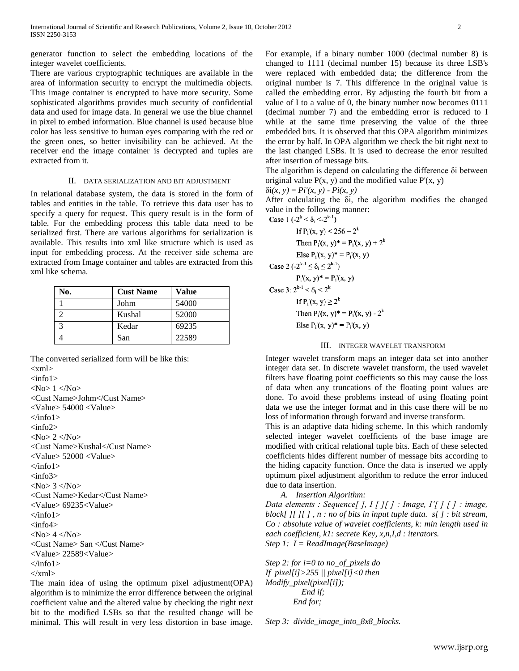generator function to select the embedding locations of the integer wavelet coefficients.

There are various cryptographic techniques are available in the area of information security to encrypt the multimedia objects. This image container is encrypted to have more security. Some sophisticated algorithms provides much security of confidential data and used for image data. In general we use the blue channel in pixel to embed information. Blue channel is used because blue color has less sensitive to human eyes comparing with the red or the green ones, so better invisibility can be achieved. At the receiver end the image container is decrypted and tuples are extracted from it.

## II. DATA SERIALIZATION AND BIT ADJUSTMENT

In relational database system, the data is stored in the form of tables and entities in the table. To retrieve this data user has to specify a query for request. This query result is in the form of table. For the embedding process this table data need to be serialized first. There are various algorithms for serialization is available. This results into xml like structure which is used as input for embedding process. At the receiver side schema are extracted from Image container and tables are extracted from this xml like schema.

| No.           | <b>Cust Name</b> | <b>Value</b> |
|---------------|------------------|--------------|
|               | Johm             | 54000        |
| 2             | Kushal           | 52000        |
| $\mathcal{R}$ | Kedar            | 69235        |
|               | San              | 22589        |

The converted serialized form will be like this:  $\langle xml \rangle$  $\langle \text{info1} \rangle$  $<\infty$   $1 <$ /No $>$ <Cust Name>Johm</Cust Name> <Value> 54000 <Value>  $\langle$ info1>  $\langle \text{info2} \rangle$  $<\!N_0>2$   $<\!N_0>$ <Cust Name>Kushal</Cust Name> <Value> 52000 <Value>  $\langle$ info1>  $\langle \text{info3} \rangle$  $<\!\!N$ o $> 3 <\!\!N$ o $>$ <Cust Name>Kedar</Cust Name> <Value> 69235<Value>  $\langle$ info $1 \rangle$  $\langle \text{info4} \rangle$  $<\!\!No\!\!>4<\!\!No\!\!>$ <Cust Name> San </Cust Name> <Value> 22589<Value>  $\langle$ info1>  $\langle xm| \rangle$ 

The main idea of using the optimum pixel adjustment(OPA) algorithm is to minimize the error difference between the original coefficient value and the altered value by checking the right next bit to the modified LSBs so that the resulted change will be minimal. This will result in very less distortion in base image.

For example, if a binary number 1000 (decimal number 8) is changed to 1111 (decimal number 15) because its three LSB's were replaced with embedded data; the difference from the original number is 7. This difference in the original value is called the embedding error. By adjusting the fourth bit from a value of I to a value of 0, the binary number now becomes 0111 (decimal number 7) and the embedding error is reduced to I while at the same time preserving the value of the three embedded bits. It is observed that this OPA algorithm minimizes the error by half. In OPA algorithm we check the bit right next to the last changed LSBs. It is used to decrease the error resulted after insertion of message bits.

The algorithm is depend on calculating the difference δi between original value  $P(x, y)$  and the modified value  $P'(x, y)$ 

 $δi(x, y) = Pi'(x, y) - Pi(x, y)$ 

After calculating the δi, the algorithm modifies the changed value in the following manner:<br>Case 1  $(-2^k < \delta < 2^{k-1})$ 

Case 1 (-2<sup>-</sup> < 0<sub>i</sub> < -2<sup>-</sup>)  
\nIf P<sub>i</sub>'(x, y) < 256 - 2<sup>k</sup>  
\nThen P<sub>i</sub>'(x, y)\* = P<sub>i</sub>'(x, y) + 2<sup>k</sup>  
\nElse P<sub>i</sub>'(x, y)\* = P<sub>i</sub>'(x, y)  
\nCase 2 (-2<sup>k-1</sup> 
$$
\leq \delta_i \leq 2^{k-1}
$$
)  
\nP<sub>i</sub>'(x, y)\* = P<sub>i</sub>'(x, y)  
\nCase 3: 2<sup>k-1</sup>  $\leq \delta_i \leq 2^k$   
\nIf P<sub>i</sub>'(x, y)  $\geq 2^k$   
\nThen P<sub>i</sub>'(x, y)\* = P<sub>i</sub>'(x, y) - 2<sup>k</sup>

Else  $P_i(x, y)^* = P_i(x, y)$ 

# III. INTEGER WAVELET TRANSFORM

Integer wavelet transform maps an integer data set into another integer data set. In discrete wavelet transform, the used wavelet filters have floating point coefficients so this may cause the loss of data when any truncations of the floating point values are done. To avoid these problems instead of using floating point data we use the integer format and in this case there will be no loss of information through forward and inverse transform.

This is an adaptive data hiding scheme. In this which randomly selected integer wavelet coefficients of the base image are modified with critical relational tuple bits. Each of these selected coefficients hides different number of message bits according to the hiding capacity function. Once the data is inserted we apply optimum pixel adjustment algorithm to reduce the error induced due to data insertion.

*A. Insertion Algorithm:*

*Data elements : Sequence[ ], I [ ][ ] : Image, I'[ ] [ ] : image, block[ ][ ][ ] , n : no of bits in input tuple data. s[ ] : bit stream, Co : absolute value of wavelet coefficients, k: min length used in each coefficient, k1: secrete Key, x,n,I,d : iterators. Step 1: I = ReadImage(BaseImage)*

*Step 2: for i=0 to no\_of\_pixels do If pixel[i]>255 || pixel[i]<0 then Modify\_pixel(pixel[i]); End if; End for;*

*Step 3: divide\_image\_into\_8x8\_blocks.*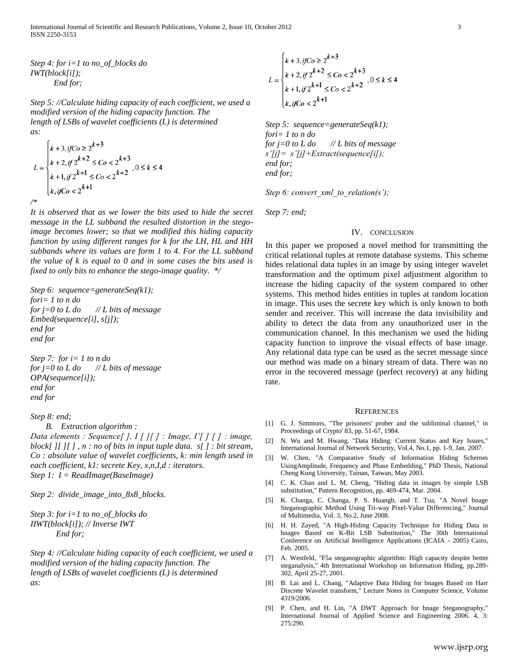*Step 4: for i=1 to no\_of\_blocks do IWT(block[i]); End for;*

*Step 5: //Calculate hiding capacity of each coefficient, we used a modified version of the hiding capacity function. The length of LSBs of wavelet coefficients (L) is determined as:*

$$
L = \begin{cases} k+3, ifC_{0} \geq 2^{k+3} \\ k+2, if 2^{k+2} \leq C_{0} < 2^{k+3} \\ k+1, if 2^{k+1} \leq C_{0} < 2^{k+2} \end{cases}, 0 \leq k \leq 4
$$
  
\n
$$
\begin{cases} k, ifC_{0} < 2^{k+1} \end{cases}
$$

*It is observed that as we lower the bits used to hide the secret message in the LL subband the resulted distortion in the stegoimage becomes lower; so that we modified this hiding capacity function by using different ranges for k for the LH, HL and HH subbands where its values are form 1 to 4. For the LL subband the value of k is equal to 0 and in some cases the bits used is fixed to only bits to enhance the stego-image quality. \*/*

*Step 6: sequence=generateSeq(k1); fori= 1 to n do for j=0 to L do // L bits of message Embed(sequence[i], s[j]); end for end for*

*Step 7: for i= 1 to n do for j=0 to L do // L bits of message OPA(sequence[i]); end for end for*

## *Step 8: end;*

*B. Extraction algorithm :* 

*Data elements : Sequence[ ], I [ ][ ] : Image, I'[ ] [ ] : image, block[ ][ ][ ] , n : no of bits in input tuple data. s[ ] : bit stream, Co : absolute value of wavelet coefficients, k: min length used in each coefficient, k1: secrete Key, x,n,I,d : iterators. Step 1: I = ReadImage(BaseImage)*

*Step 2: divide\_image\_into\_8x8\_blocks.*

*Step 3: for i=1 to no\_of\_blocks do IIWT(block[i]); // Inverse IWT End for;*

*Step 4: //Calculate hiding capacity of each coefficient, we used a modified version of the hiding capacity function. The length of LSBs of wavelet coefficients (L) is determined as:*

$$
L = \begin{cases} k+3, if C_0 \ge 2^{k+3} \\ k+2, if 2^{k+2} \le C_0 < 2^{k+3} \\ k+1, if 2^{k+1} \le C_0 < 2^{k+2} \\ k, if C_0 < 2^{k+1} \end{cases}, 0 \le k \le 4
$$

*Step 5: sequence=generateSeq(k1); fori= 1 to n do for j=0 to L do // L bits of message s'[j]= s'[j]+Extract(sequence[i]); end for; end for;*

*Step 6: convert\_xml\_to\_relation(s');*

*Step 7: end;*

### IV. CONCLUSION

In this paper we proposed a novel method for transmitting the critical relational tuples at remote database systems. This scheme hides relational data tuples in an image by using integer wavelet transformation and the optimum pixel adjustment algorithm to increase the hiding capacity of the system compared to other systems. This method hides entities in tuples at random location in image. This uses the secrete key which is only known to both sender and receiver. This will increase the data invisibility and ability to detect the data from any unauthorized user in the communication channel. In this mechanism we used the hiding capacity function to improve the visual effects of base image. Any relational data type can be used as the secret message since our method was made on a binary stream of data. There was no error in the recovered message (perfect recovery) at any hiding rate.

#### **REFERENCES**

- [1] G. J. Simmons, "The prisoners' prober and the subliminal channel," in Proceedings of Crypto' 83, pp. 51-67, 1984.
- [2] N. Wu and M. Hwang. "Data Hiding: Current Status and Key Issues," International Journal of Network Security, Vol.4, No.1, pp. 1-9, Jan. 2007.
- [3] W. Chen, "A Comparative Study of Information Hiding Schernes UsingAmplitude, Frequency and Phase Embedding," PhD Thesis, National Cheng Kung University, Tainan, Taiwan, May 2003.
- [4] C. K. Chan and L. M. Cheng, "Hiding data in images by simple LSB substitution," Pattern Recognition, pp. 469-474, Mar. 2004.
- [5] K. Changa, C. Changa, P. S. Huangb, and T. Tua, "A Novel bnage Steganographic Method Using Tri-way Pixel-Value Differencing," Journal of Multimedia, Vol. 3, No.2, June 2008.
- [6] H. H. Zayed, "A High-Hiding Capacity Technique for Hiding Data in hnages Based on K-Bit LSB Substitution," The 30th International Conference on Artificial Intelligence Applications (ICAIA - 2005) Cairo, Feb. 2005.
- [7] A. Westfeld, "F5a steganographic algorithm: High capacity despite better steganalysis," 4th International Workshop on Information Hiding, pp.289- 302, April 25-27, 2001.
- [8] B. Lai and L. Chang, "Adaptive Data Hiding for bnages Based on Harr Discrete Wavelet transform," Lecture Notes in Computer Science, Volume *4319/2006.*
- [9] P. Chen, and H. Lin, "A DWT Approach for bnage Steganography," International Journal of Applied Science and Engineering 2006. 4, 3: 275:290.